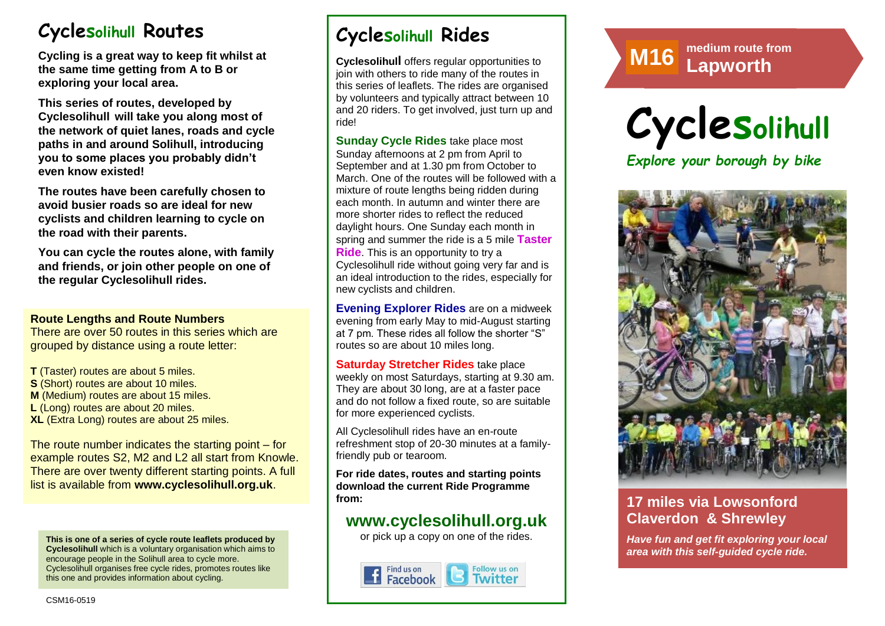# **Cyclesolihull Routes**

**Cycling is a great way to keep fit whilst at the same time getting from A to B or exploring your local area.** 

**This series of routes, developed by Cyclesolihull will take you along most of the network of quiet lanes, roads and cycle paths in and around Solihull, introducing you to some places you probably didn't even know existed!**

**The routes have been carefully chosen to avoid busier roads so are ideal for new cyclists and children learning to cycle on the road with their parents.** 

**You can cycle the routes alone, with family and friends, or join other people on one of the regular Cyclesolihull rides.**

#### **Route Lengths and Route Numbers**

There are over 50 routes in this series which are grouped by distance using a route letter:

**T** (Taster) routes are about 5 miles. **S** (Short) routes are about 10 miles. **M** (Medium) routes are about 15 miles. **L** (Long) routes are about 20 miles. **XL** (Extra Long) routes are about 25 miles.

The route number indicates the starting point – for example routes S2, M2 and L2 all start from Knowle. There are over twenty different starting points. A full list is available from **www.cyclesolihull.org.uk**.

**This is one of a series of cycle route leaflets produced by Cyclesolihull** which is a voluntary organisation which aims to encourage people in the Solihull area to cycle more. Cyclesolihull organises free cycle rides, promotes routes like this one and provides information about cycling.

# **Cyclesolihull Rides**

**Cyclesolihull** offers regular opportunities to join with others to ride many of the routes in this series of leaflets. The rides are organised by volunteers and typically attract between 10 and 20 riders. To get involved, just turn up and ride!

**Sunday Cycle Rides** take place most Sunday afternoons at 2 pm from April to September and at 1.30 pm from October to March. One of the routes will be followed with a mixture of route lengths being ridden during each month. In autumn and winter there are more shorter rides to reflect the reduced daylight hours. One Sunday each month in spring and summer the ride is a 5 mile **Taster Ride**. This is an opportunity to try a Cyclesolihull ride without going very far and is an ideal introduction to the rides, especially for new cyclists and children.

**Evening Explorer Rides** are on a midweek evening from early May to mid-August starting at 7 pm. These rides all follow the shorter "S" routes so are about 10 miles long.

**Saturday Stretcher Rides** take place weekly on most Saturdays, starting at 9.30 am. They are about 30 long, are at a faster pace and do not follow a fixed route, so are suitable for more experienced cyclists.

All Cyclesolihull rides have an en-route refreshment stop of 20-30 minutes at a familyfriendly pub or tearoom.

**For ride dates, routes and starting points download the current Ride Programme from:** 

## **www.cyclesolihull.org.uk**

or pick up a copy on one of the rides.



# **Route M8 medium route from M16 Lapworth**





## **17 miles via Lowsonford Claverdon & Shrewley**

*Have fun and get fit exploring your local area with this self-guided cycle ride.*